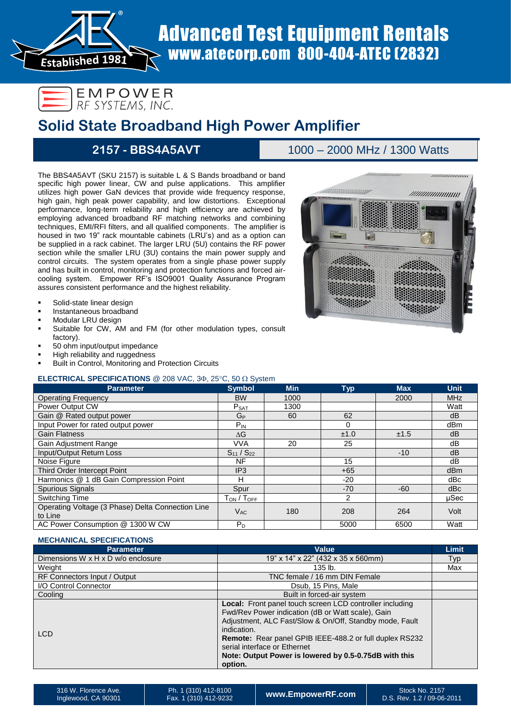

®

# **Solid State Broadband High Power Amplifier**

## **2157 - BBS4A5AVT** 1000 – 2000 MHz / 1300 Watts

- Solid-state linear design
- Instantaneous broadband
- Modular LRU design
- Suitable for CW, AM and FM (for other modulation types, consult factory).
- 50 ohm input/output impedance
- High reliability and ruggedness
- Built in Control, Monitoring and Protection Circuits

## **ELECTRICAL SPECIFICATIONS** @ 208 VAC,  $3\Phi$ ,  $25^{\circ}$ C,  $50 \Omega$  System

|                                                                                                                                                                                                                                                                                                                                                                                                                                                                                                                                                                                                                                                                                                                                                                                                                                                                                                                                                                                                                                                                                                                                                                                                                                                                                                  |                               |            | <b>Advanced Test Equipment Rentals</b>             |            |                     |
|--------------------------------------------------------------------------------------------------------------------------------------------------------------------------------------------------------------------------------------------------------------------------------------------------------------------------------------------------------------------------------------------------------------------------------------------------------------------------------------------------------------------------------------------------------------------------------------------------------------------------------------------------------------------------------------------------------------------------------------------------------------------------------------------------------------------------------------------------------------------------------------------------------------------------------------------------------------------------------------------------------------------------------------------------------------------------------------------------------------------------------------------------------------------------------------------------------------------------------------------------------------------------------------------------|-------------------------------|------------|----------------------------------------------------|------------|---------------------|
| www.atecorp.com 800-404-ATEC (2832)<br><b>Established 1981</b>                                                                                                                                                                                                                                                                                                                                                                                                                                                                                                                                                                                                                                                                                                                                                                                                                                                                                                                                                                                                                                                                                                                                                                                                                                   |                               |            |                                                    |            |                     |
| EMPOWER<br>RF SYSTEMS, INC.<br><b>Solid State Broadband High Power Amplifier</b>                                                                                                                                                                                                                                                                                                                                                                                                                                                                                                                                                                                                                                                                                                                                                                                                                                                                                                                                                                                                                                                                                                                                                                                                                 |                               |            |                                                    |            |                     |
| 2157 - BBS4A5AVT                                                                                                                                                                                                                                                                                                                                                                                                                                                                                                                                                                                                                                                                                                                                                                                                                                                                                                                                                                                                                                                                                                                                                                                                                                                                                 |                               |            | 1000 - 2000 MHz / 1300 Watts                       |            |                     |
| The BBS4A5AVT (SKU 2157) is suitable L & S Bands broadband or band                                                                                                                                                                                                                                                                                                                                                                                                                                                                                                                                                                                                                                                                                                                                                                                                                                                                                                                                                                                                                                                                                                                                                                                                                               |                               |            |                                                    |            |                     |
| specific high power linear, CW and pulse applications. This amplifier<br>utilizes high power GaN devices that provide wide frequency response,<br>///////////////////<br>high gain, high peak power capability, and low distortions. Exceptional<br>performance, long-term reliability and high efficiency are achieved by<br>employing advanced broadband RF matching networks and combining<br>techniques, EMI/RFI filters, and all qualified components. The amplifier is<br>housed in two 19" rack mountable cabinets (LRU's) and as a option can<br>be supplied in a rack cabinet. The larger LRU (5U) contains the RF power<br>section while the smaller LRU (3U) contains the main power supply and<br>control circuits. The system operates from a single phase power supply<br>and has built in control, monitoring and protection functions and forced air-<br>cooling system. Empower RF's ISO9001 Quality Assurance Program<br>assures consistent performance and the highest reliability.<br>Solid-state linear design<br>Instantaneous broadband<br>Modular LRU design<br>Suitable for CW, AM and FM (for other modulation types, consult<br>factory).<br>50 ohm input/output impedance<br>High reliability and ruggedness<br>Built in Control, Monitoring and Protection Circuits |                               |            |                                                    |            |                     |
| <b>ELECTRICAL SPECIFICATIONS</b> @ 208 VAC, 3 $\Phi$ , 25 $\degree$ C, 50 $\Omega$ System<br><b>Parameter</b>                                                                                                                                                                                                                                                                                                                                                                                                                                                                                                                                                                                                                                                                                                                                                                                                                                                                                                                                                                                                                                                                                                                                                                                    | <b>Symbol</b>                 | <b>Min</b> | <b>Typ</b>                                         | <b>Max</b> | Unit                |
| <b>Operating Frequency</b>                                                                                                                                                                                                                                                                                                                                                                                                                                                                                                                                                                                                                                                                                                                                                                                                                                                                                                                                                                                                                                                                                                                                                                                                                                                                       | <b>BW</b>                     | 1000       |                                                    | 2000       | <b>MHz</b>          |
| Power Output CW                                                                                                                                                                                                                                                                                                                                                                                                                                                                                                                                                                                                                                                                                                                                                                                                                                                                                                                                                                                                                                                                                                                                                                                                                                                                                  | $P_{SAT}$                     | 1300       |                                                    |            | Watt                |
| Gain @ Rated output power                                                                                                                                                                                                                                                                                                                                                                                                                                                                                                                                                                                                                                                                                                                                                                                                                                                                                                                                                                                                                                                                                                                                                                                                                                                                        | $G_{P}$                       | 60         | 62                                                 |            | dB                  |
| Input Power for rated output power<br><b>Gain Flatness</b>                                                                                                                                                                                                                                                                                                                                                                                                                                                                                                                                                                                                                                                                                                                                                                                                                                                                                                                                                                                                                                                                                                                                                                                                                                       | $P_{IN}$<br>$\Delta G$        |            | $\mathbf 0$<br>±1.0                                | ±1.5       | dBm<br>dB           |
| Gain Adjustment Range                                                                                                                                                                                                                                                                                                                                                                                                                                                                                                                                                                                                                                                                                                                                                                                                                                                                                                                                                                                                                                                                                                                                                                                                                                                                            | <b>VVA</b>                    | 20         | 25                                                 |            | dB                  |
| Input/Output Return Loss                                                                                                                                                                                                                                                                                                                                                                                                                                                                                                                                                                                                                                                                                                                                                                                                                                                                                                                                                                                                                                                                                                                                                                                                                                                                         | $S_{11} / S_{22}$             |            |                                                    | $-10$      | dB                  |
| Noise Figure                                                                                                                                                                                                                                                                                                                                                                                                                                                                                                                                                                                                                                                                                                                                                                                                                                                                                                                                                                                                                                                                                                                                                                                                                                                                                     | N <sub>F</sub>                |            | 15                                                 |            | dB                  |
| Third Order Intercept Point<br>Harmonics @ 1 dB Gain Compression Point                                                                                                                                                                                                                                                                                                                                                                                                                                                                                                                                                                                                                                                                                                                                                                                                                                                                                                                                                                                                                                                                                                                                                                                                                           | IP <sub>3</sub><br>H          |            | $+65$<br>$-20$                                     |            | dBm<br>dBc          |
| Spurious Signals                                                                                                                                                                                                                                                                                                                                                                                                                                                                                                                                                                                                                                                                                                                                                                                                                                                                                                                                                                                                                                                                                                                                                                                                                                                                                 | Spur                          |            | $-70$                                              | $-60$      | dBc                 |
| Switching Time                                                                                                                                                                                                                                                                                                                                                                                                                                                                                                                                                                                                                                                                                                                                                                                                                                                                                                                                                                                                                                                                                                                                                                                                                                                                                   | TON / TOFF                    |            | 2                                                  |            | µSec                |
| Operating Voltage (3 Phase) Delta Connection Line<br>to Line                                                                                                                                                                                                                                                                                                                                                                                                                                                                                                                                                                                                                                                                                                                                                                                                                                                                                                                                                                                                                                                                                                                                                                                                                                     | $V_{AC}$                      | 180        | 208                                                | 264        | Volt                |
| AC Power Consumption @ 1300 W CW                                                                                                                                                                                                                                                                                                                                                                                                                                                                                                                                                                                                                                                                                                                                                                                                                                                                                                                                                                                                                                                                                                                                                                                                                                                                 | $P_D$                         |            | 5000                                               | 6500       | Watt                |
| <b>MECHANICAL SPECIFICATIONS</b>                                                                                                                                                                                                                                                                                                                                                                                                                                                                                                                                                                                                                                                                                                                                                                                                                                                                                                                                                                                                                                                                                                                                                                                                                                                                 |                               |            |                                                    |            |                     |
| <b>Parameter</b><br>Dimensions W x H x D w/o enclosure                                                                                                                                                                                                                                                                                                                                                                                                                                                                                                                                                                                                                                                                                                                                                                                                                                                                                                                                                                                                                                                                                                                                                                                                                                           |                               |            | <b>Value</b><br>19" x 14" x 22" (432 x 35 x 560mm) |            | <b>Limit</b><br>Typ |
| Weight                                                                                                                                                                                                                                                                                                                                                                                                                                                                                                                                                                                                                                                                                                                                                                                                                                                                                                                                                                                                                                                                                                                                                                                                                                                                                           |                               |            | 135 lb.                                            |            | Max                 |
| RF Connectors Input / Output                                                                                                                                                                                                                                                                                                                                                                                                                                                                                                                                                                                                                                                                                                                                                                                                                                                                                                                                                                                                                                                                                                                                                                                                                                                                     | TNC female / 16 mm DIN Female |            |                                                    |            |                     |
| I/O Control Connector                                                                                                                                                                                                                                                                                                                                                                                                                                                                                                                                                                                                                                                                                                                                                                                                                                                                                                                                                                                                                                                                                                                                                                                                                                                                            | Dsub, 15 Pins, Male           |            |                                                    |            |                     |
| Cooling<br>Built in forced-air system<br>Local: Front panel touch screen LCD controller including<br>Fwd/Rev Power indication (dB or Watt scale), Gain<br>Adjustment, ALC Fast/Slow & On/Off, Standby mode, Fault<br>indication.<br><b>LCD</b><br>Remote: Rear panel GPIB IEEE-488.2 or full duplex RS232<br>serial interface or Ethernet<br>Note: Output Power is lowered by 0.5-0.75dB with this<br>option.                                                                                                                                                                                                                                                                                                                                                                                                                                                                                                                                                                                                                                                                                                                                                                                                                                                                                    |                               |            |                                                    |            |                     |

## **MECHANICAL SPECIFICATIONS**

| <b>Parameter</b>                   | Value                                                                                                                                                                                                                                                                                                                                                  | <b>Limit</b> |
|------------------------------------|--------------------------------------------------------------------------------------------------------------------------------------------------------------------------------------------------------------------------------------------------------------------------------------------------------------------------------------------------------|--------------|
| Dimensions W x H x D w/o enclosure | 19" x 14" x 22" (432 x 35 x 560mm)                                                                                                                                                                                                                                                                                                                     | <b>Typ</b>   |
| Weight                             | 135 lb.                                                                                                                                                                                                                                                                                                                                                | Max          |
| RF Connectors Input / Output       | TNC female / 16 mm DIN Female                                                                                                                                                                                                                                                                                                                          |              |
| I/O Control Connector              | Dsub, 15 Pins, Male                                                                                                                                                                                                                                                                                                                                    |              |
| Cooling                            | Built in forced-air system                                                                                                                                                                                                                                                                                                                             |              |
| LCD                                | Local: Front panel touch screen LCD controller including<br>Fwd/Rev Power indication (dB or Watt scale), Gain<br>Adjustment, ALC Fast/Slow & On/Off, Standby mode, Fault<br>indication.<br>Remote: Rear panel GPIB IEEE-488.2 or full duplex RS232<br>serial interface or Ethernet<br>Note: Output Power is lowered by 0.5-0.75dB with this<br>option. |              |

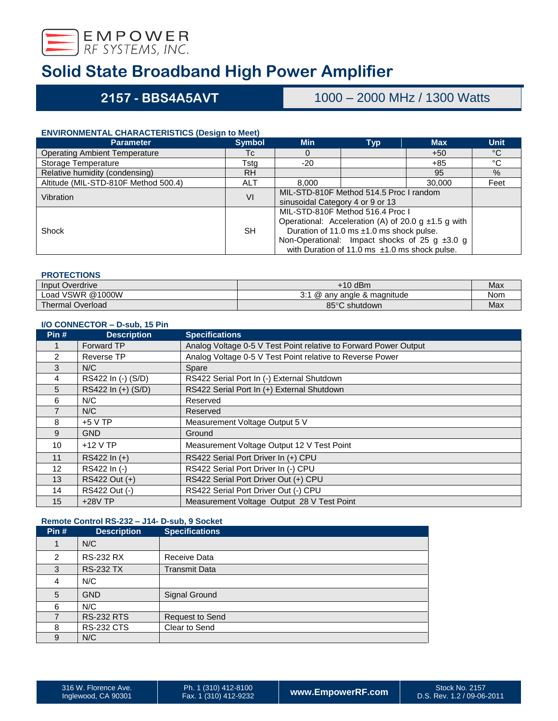

**2157 - BBS4A5AVT** 1000 – 2000 MHz / 1300 Watts

### **ENVIRONMENTAL CHARACTERISTICS (Design to Meet)**

| <b>Parameter</b>                     | <b>Symbol</b> | <b>Min</b>                                               | <b>Typ</b>                                         | <b>Max</b> | <b>Unit</b>  |
|--------------------------------------|---------------|----------------------------------------------------------|----------------------------------------------------|------------|--------------|
| <b>Operating Ambient Temperature</b> | Tc            | 0                                                        |                                                    | $+50$      | $^{\circ}$ C |
| Storage Temperature                  | Tsta          | $-20$                                                    |                                                    | +85        | °C           |
| Relative humidity (condensing)       | <b>RH</b>     |                                                          |                                                    | 95         | $\%$         |
| Altitude (MIL-STD-810F Method 500.4) | <b>ALT</b>    | 8.000                                                    |                                                    | 30,000     | Feet         |
| Vibration                            | VI            | MIL-STD-810F Method 514.5 Proc I random                  |                                                    |            |              |
|                                      |               | sinusoidal Category 4 or 9 or 13                         |                                                    |            |              |
|                                      |               | MIL-STD-810F Method 516.4 Proc I                         |                                                    |            |              |
|                                      |               | Operational: Acceleration (A) of 20.0 g $\pm$ 1.5 g with |                                                    |            |              |
| Shock                                | <b>SH</b>     | Duration of 11.0 ms ±1.0 ms shock pulse.                 |                                                    |            |              |
|                                      |               |                                                          | Non-Operational: Impact shocks of 25 g $\pm 3.0$ g |            |              |
|                                      |               |                                                          | with Duration of 11.0 ms $\pm$ 1.0 ms shock pulse. |            |              |

### **PROTECTIONS**

| Input Overdrive         | $+10$ dBm                      | Max |
|-------------------------|--------------------------------|-----|
| Load VSWR @1000W        | 0.4<br>@ anv angle & magnitude | Nom |
| <b>Thermal Overload</b> | 85°C<br>∘C shutdown            | Max |

### **I/O CONNECTOR – D-sub, 15 Pin**

| Pin#           | <b>Description</b> | <b>Specifications</b>                                            |
|----------------|--------------------|------------------------------------------------------------------|
|                | <b>Forward TP</b>  | Analog Voltage 0-5 V Test Point relative to Forward Power Output |
| 2              | Reverse TP         | Analog Voltage 0-5 V Test Point relative to Reverse Power        |
| 3              | N/C                | Spare                                                            |
| 4              | RS422 In (-) (S/D) | RS422 Serial Port In (-) External Shutdown                       |
| 5              | RS422 In (+) (S/D) | RS422 Serial Port In (+) External Shutdown                       |
| 6              | N/C                | Reserved                                                         |
| $\overline{7}$ | N/C                | Reserved                                                         |
| 8              | $+5$ V TP          | Measurement Voltage Output 5 V                                   |
| 9              | <b>GND</b>         | Ground                                                           |
| 10             | $+12$ V TP         | Measurement Voltage Output 12 V Test Point                       |
| 11             | RS422 In (+)       | RS422 Serial Port Driver In (+) CPU                              |
| 12             | RS422 In (-)       | RS422 Serial Port Driver In (-) CPU                              |
| 13             | RS422 Out (+)      | RS422 Serial Port Driver Out (+) CPU                             |
| 14             | RS422 Out (-)      | RS422 Serial Port Driver Out (-) CPU                             |
| 15             | $+28V$ TP          | Measurement Voltage Output 28 V Test Point                       |

## **Remote Control RS-232 – J14- D-sub, 9 Socket**

| Pin#           | <b>Description</b> | <b>Specifications</b> |
|----------------|--------------------|-----------------------|
|                | N/C                |                       |
| $\overline{2}$ | <b>RS-232 RX</b>   | Receive Data          |
| 3              | <b>RS-232 TX</b>   | <b>Transmit Data</b>  |
| 4              | N/C                |                       |
| 5              | <b>GND</b>         | Signal Ground         |
| 6              | N/C                |                       |
|                | <b>RS-232 RTS</b>  | Request to Send       |
| 8              | <b>RS-232 CTS</b>  | Clear to Send         |
| 9              | N/C                |                       |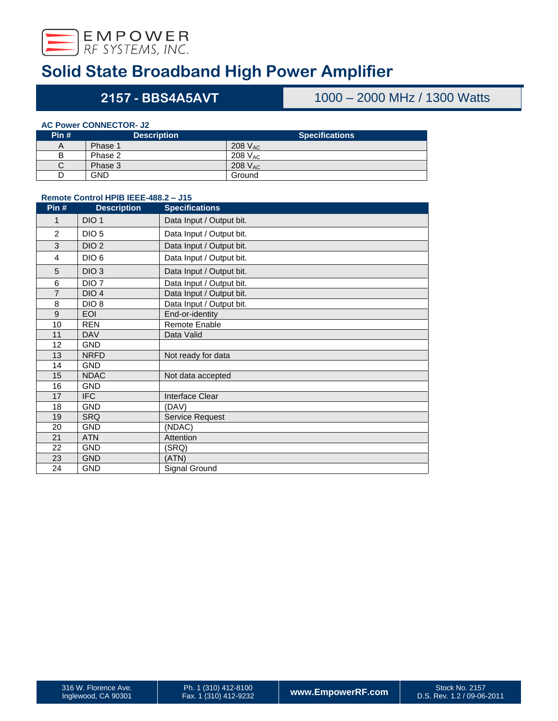

## **- BBS4A5AVT** 1000 – 2000 MHz / 1300 Watts

### **AC Power CONNECTOR- J2**

| Pin# | <b>Description</b> | <b>Specifications</b> |
|------|--------------------|-----------------------|
| A    | Phase 1            | 208 V <sub>AC</sub>   |
| B    | Phase 2            | 208 $V_{AC}$          |
| С    | Phase 3            | 208 $V_{AC}$          |
| D    | <b>GND</b>         | Ground                |

## **Remote Control HPIB IEEE-488.2 – J15**

| Pin#           | <b>Description</b> | <b>Specifications</b>    |
|----------------|--------------------|--------------------------|
| 1              | DIO <sub>1</sub>   | Data Input / Output bit. |
| $\overline{2}$ | DIO <sub>5</sub>   | Data Input / Output bit. |
| 3              | DIO <sub>2</sub>   | Data Input / Output bit. |
| 4              | DIO <sub>6</sub>   | Data Input / Output bit. |
| 5              | DIO <sub>3</sub>   | Data Input / Output bit. |
| 6              | DIO <sub>7</sub>   | Data Input / Output bit. |
| $\overline{7}$ | DIO <sub>4</sub>   | Data Input / Output bit. |
| 8              | DIO <sub>8</sub>   | Data Input / Output bit. |
| 9              | <b>EOI</b>         | End-or-identity          |
| 10             | <b>REN</b>         | Remote Enable            |
| 11             | <b>DAV</b>         | Data Valid               |
| 12             | <b>GND</b>         |                          |
| 13             | <b>NRFD</b>        | Not ready for data       |
| 14             | <b>GND</b>         |                          |
| 15             | <b>NDAC</b>        | Not data accepted        |
| 16             | <b>GND</b>         |                          |
| 17             | <b>IFC</b>         | Interface Clear          |
| 18             | <b>GND</b>         | (DAV)                    |
| 19             | <b>SRQ</b>         | Service Request          |
| 20             | <b>GND</b>         | (NDAC)                   |
| 21             | <b>ATN</b>         | Attention                |
| 22             | <b>GND</b>         | (SRQ)                    |
| 23             | <b>GND</b>         | (ATN)                    |
| 24             | <b>GND</b>         | Signal Ground            |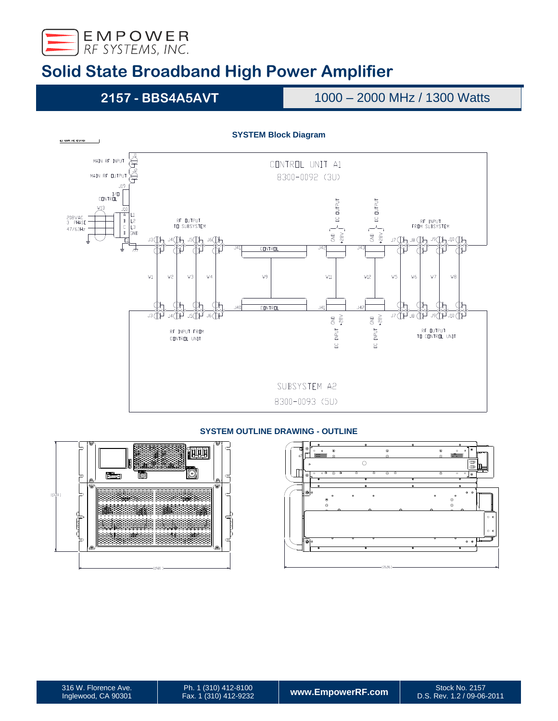

**2157 - BBS4A5AVT** 1000 – 2000 MHz / 1300 Watts



## **SYSTEM OUTLINE DRAWING - OUTLINE**



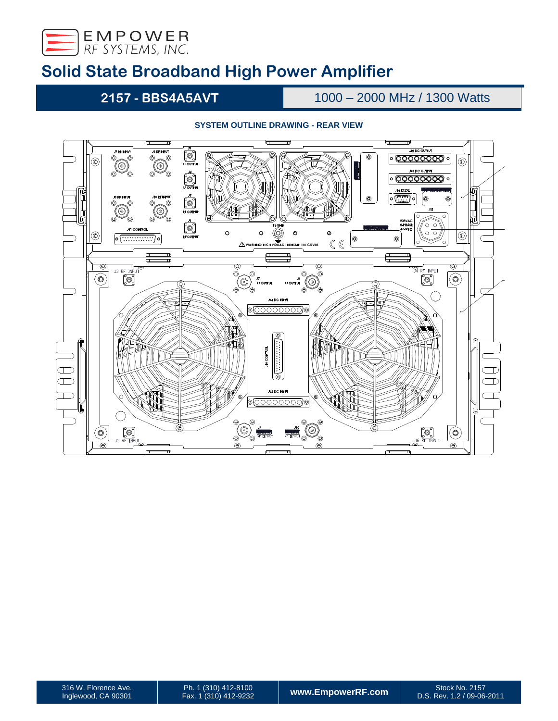

**2157 - BBS4A5AVT** 1000 – 2000 MHz / 1300 Watts

## **SYSTEM OUTLINE DRAWING - REAR VIEW**



D.S. Rev. 1.2 / 09-06-2011